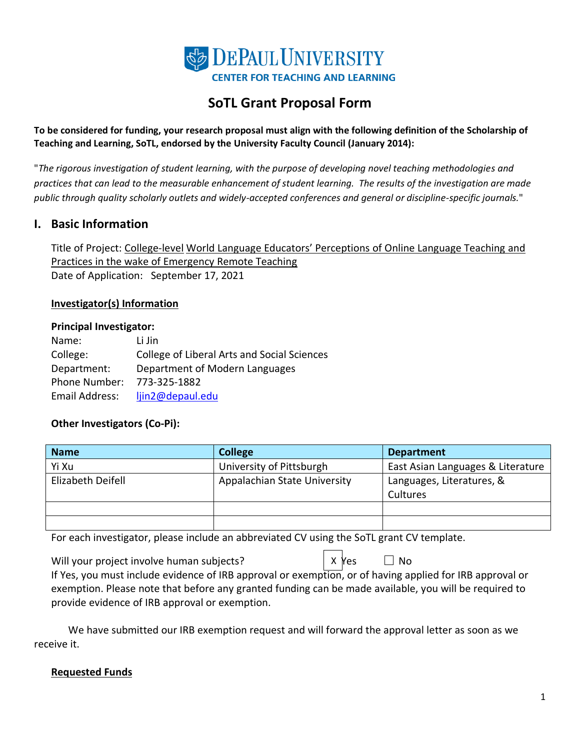

# **SoTL Grant Proposal Form**

**To be considered for funding, your research proposal must align with the following definition of the Scholarship of Teaching and Learning, SoTL, endorsed by the University Faculty Council (January 2014):**

"*The rigorous investigation of student learning, with the purpose of developing novel teaching methodologies and practices that can lead to the measurable enhancement of student learning. The results of the investigation are made public through quality scholarly outlets and widely-accepted conferences and general or discipline-specific journals.*"

### **I. Basic Information**

Title of Project: College-level World Language Educators' Perceptions of Online Language Teaching and Practices in the wake of Emergency Remote Teaching Date of Application: September 17, 2021

#### **Investigator(s) Information**

#### **Principal Investigator:**

| Name:          | Li Jin                                      |
|----------------|---------------------------------------------|
| College:       | College of Liberal Arts and Social Sciences |
| Department:    | Department of Modern Languages              |
| Phone Number:  | 773-325-1882                                |
| Email Address: | ljin2@depaul.edu                            |

### **Other Investigators (Co-Pi):**

| <b>Name</b>       | <b>College</b>               | <b>Department</b>                 |
|-------------------|------------------------------|-----------------------------------|
| Yi Xu             | University of Pittsburgh     | East Asian Languages & Literature |
| Elizabeth Deifell | Appalachian State University | Languages, Literatures, &         |
|                   |                              | Cultures                          |
|                   |                              |                                   |
|                   |                              |                                   |

For each investigator, please include an abbreviated CV using the SoTL grant CV template.

Will your project involve human subjects?  $\Box$  X Yes  $\Box$  No If Yes, you must include evidence of IRB approval or exemption, or of having applied for IRB approval or exemption. Please note that before any granted funding can be made available, you will be required to provide evidence of IRB approval or exemption. X Yes

We have submitted our IRB exemption request and will forward the approval letter as soon as we receive it.

#### **Requested Funds**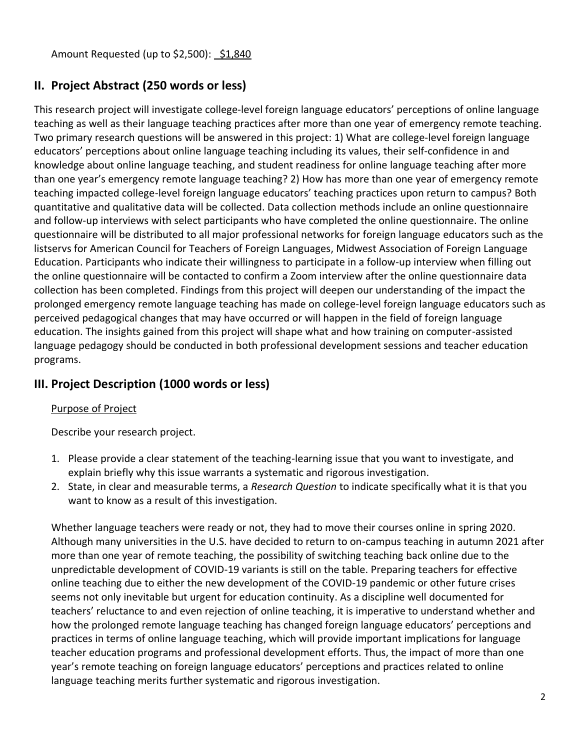Amount Requested (up to \$2,500): \$1,840

# **II. Project Abstract (250 words or less)**

This research project will investigate college-level foreign language educators' perceptions of online language teaching as well as their language teaching practices after more than one year of emergency remote teaching. Two primary research questions will be answered in this project: 1) What are college-level foreign language educators' perceptions about online language teaching including its values, their self-confidence in and knowledge about online language teaching, and student readiness for online language teaching after more than one year's emergency remote language teaching? 2) How has more than one year of emergency remote teaching impacted college-level foreign language educators' teaching practices upon return to campus? Both quantitative and qualitative data will be collected. Data collection methods include an online questionnaire and follow-up interviews with select participants who have completed the online questionnaire. The online questionnaire will be distributed to all major professional networks for foreign language educators such as the listservs for American Council for Teachers of Foreign Languages, Midwest Association of Foreign Language Education. Participants who indicate their willingness to participate in a follow-up interview when filling out the online questionnaire will be contacted to confirm a Zoom interview after the online questionnaire data collection has been completed. Findings from this project will deepen our understanding of the impact the prolonged emergency remote language teaching has made on college-level foreign language educators such as perceived pedagogical changes that may have occurred or will happen in the field of foreign language education. The insights gained from this project will shape what and how training on computer-assisted language pedagogy should be conducted in both professional development sessions and teacher education programs.

# **III. Project Description (1000 words or less)**

### Purpose of Project

Describe your research project.

- 1. Please provide a clear statement of the teaching-learning issue that you want to investigate, and explain briefly why this issue warrants a systematic and rigorous investigation.
- 2. State, in clear and measurable terms, a *Research Question* to indicate specifically what it is that you want to know as a result of this investigation.

Whether language teachers were ready or not, they had to move their courses online in spring 2020. Although many universities in the U.S. have decided to return to on-campus teaching in autumn 2021 after more than one year of remote teaching, the possibility of switching teaching back online due to the unpredictable development of COVID-19 variants is still on the table. Preparing teachers for effective online teaching due to either the new development of the COVID-19 pandemic or other future crises seems not only inevitable but urgent for education continuity. As a discipline well documented for teachers' reluctance to and even rejection of online teaching, it is imperative to understand whether and how the prolonged remote language teaching has changed foreign language educators' perceptions and practices in terms of online language teaching, which will provide important implications for language teacher education programs and professional development efforts. Thus, the impact of more than one year's remote teaching on foreign language educators' perceptions and practices related to online language teaching merits further systematic and rigorous investigation.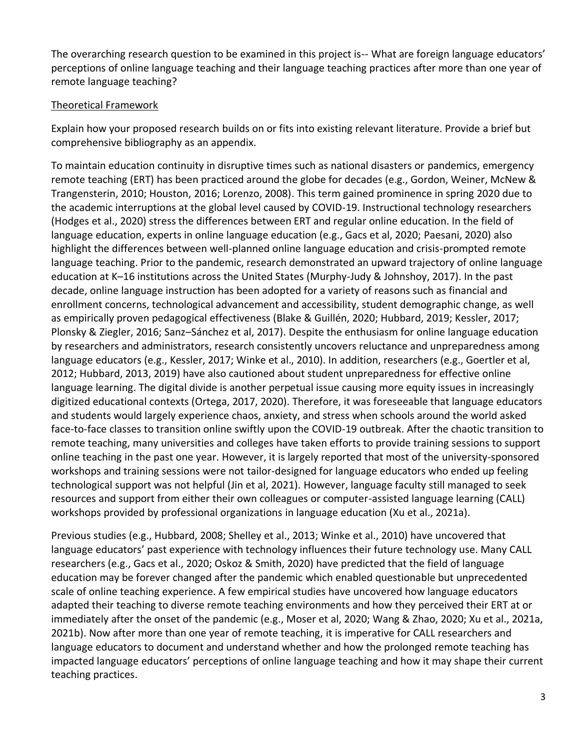The overarching research question to be examined in this project is-- What are foreign language educators' perceptions of online language teaching and their language teaching practices after more than one year of remote language teaching?

### Theoretical Framework

Explain how your proposed research builds on or fits into existing relevant literature. Provide a brief but comprehensive bibliography as an appendix.

To maintain education continuity in disruptive times such as national disasters or pandemics, emergency remote teaching (ERT) has been practiced around the globe for decades (e.g., Gordon, Weiner, McNew & Trangensterin, 2010; Houston, 2016; Lorenzo, 2008). This term gained prominence in spring 2020 due to the academic interruptions at the global level caused by COVID-19. Instructional technology researchers (Hodges et al., 2020) stress the differences between ERT and regular online education. In the field of language education, experts in online language education (e.g., Gacs et al, 2020; Paesani, 2020) also highlight the differences between well-planned online language education and crisis-prompted remote language teaching. Prior to the pandemic, research demonstrated an upward trajectory of online language education at K–16 institutions across the United States (Murphy-Judy & Johnshoy, 2017). In the past decade, online language instruction has been adopted for a variety of reasons such as financial and enrollment concerns, technological advancement and accessibility, student demographic change, as well as empirically proven pedagogical effectiveness (Blake & Guillén, 2020; Hubbard, 2019; Kessler, 2017; Plonsky & Ziegler, 2016; Sanz–Sánchez et al, 2017). Despite the enthusiasm for online language education by researchers and administrators, research consistently uncovers reluctance and unpreparedness among language educators (e.g., Kessler, 2017; Winke et al., 2010). In addition, researchers (e.g., Goertler et al, 2012; Hubbard, 2013, 2019) have also cautioned about student unpreparedness for effective online language learning. The digital divide is another perpetual issue causing more equity issues in increasingly digitized educational contexts (Ortega, 2017, 2020). Therefore, it was foreseeable that language educators and students would largely experience chaos, anxiety, and stress when schools around the world asked face-to-face classes to transition online swiftly upon the COVID-19 outbreak. After the chaotic transition to remote teaching, many universities and colleges have taken efforts to provide training sessions to support online teaching in the past one year. However, it is largely reported that most of the university-sponsored workshops and training sessions were not tailor-designed for language educators who ended up feeling technological support was not helpful (Jin et al, 2021). However, language faculty still managed to seek resources and support from either their own colleagues or computer-assisted language learning (CALL) workshops provided by professional organizations in language education (Xu et al., 2021a).

Previous studies (e.g., Hubbard, 2008; Shelley et al., 2013; Winke et al., 2010) have uncovered that language educators' past experience with technology influences their future technology use. Many CALL researchers (e.g., Gacs et al., 2020; Oskoz & Smith, 2020) have predicted that the field of language education may be forever changed after the pandemic which enabled questionable but unprecedented scale of online teaching experience. A few empirical studies have uncovered how language educators adapted their teaching to diverse remote teaching environments and how they perceived their ERT at or immediately after the onset of the pandemic (e.g., Moser et al, 2020; Wang & Zhao, 2020; Xu et al., 2021a, 2021b). Now after more than one year of remote teaching, it is imperative for CALL researchers and language educators to document and understand whether and how the prolonged remote teaching has impacted language educators' perceptions of online language teaching and how it may shape their current teaching practices.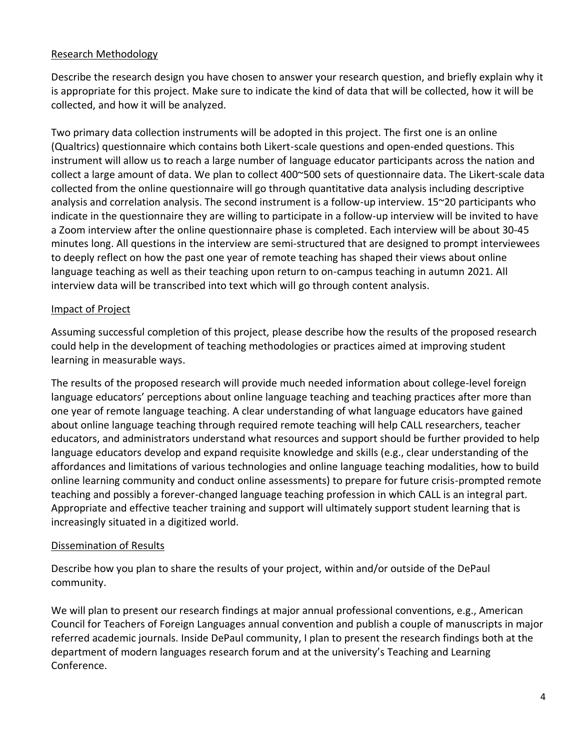#### Research Methodology

Describe the research design you have chosen to answer your research question, and briefly explain why it is appropriate for this project. Make sure to indicate the kind of data that will be collected, how it will be collected, and how it will be analyzed.

Two primary data collection instruments will be adopted in this project. The first one is an online (Qualtrics) questionnaire which contains both Likert-scale questions and open-ended questions. This instrument will allow us to reach a large number of language educator participants across the nation and collect a large amount of data. We plan to collect 400~500 sets of questionnaire data. The Likert-scale data collected from the online questionnaire will go through quantitative data analysis including descriptive analysis and correlation analysis. The second instrument is a follow-up interview. 15~20 participants who indicate in the questionnaire they are willing to participate in a follow-up interview will be invited to have a Zoom interview after the online questionnaire phase is completed. Each interview will be about 30-45 minutes long. All questions in the interview are semi-structured that are designed to prompt interviewees to deeply reflect on how the past one year of remote teaching has shaped their views about online language teaching as well as their teaching upon return to on-campus teaching in autumn 2021. All interview data will be transcribed into text which will go through content analysis.

#### Impact of Project

Assuming successful completion of this project, please describe how the results of the proposed research could help in the development of teaching methodologies or practices aimed at improving student learning in measurable ways.

The results of the proposed research will provide much needed information about college-level foreign language educators' perceptions about online language teaching and teaching practices after more than one year of remote language teaching. A clear understanding of what language educators have gained about online language teaching through required remote teaching will help CALL researchers, teacher educators, and administrators understand what resources and support should be further provided to help language educators develop and expand requisite knowledge and skills (e.g., clear understanding of the affordances and limitations of various technologies and online language teaching modalities, how to build online learning community and conduct online assessments) to prepare for future crisis-prompted remote teaching and possibly a forever-changed language teaching profession in which CALL is an integral part. Appropriate and effective teacher training and support will ultimately support student learning that is increasingly situated in a digitized world.

#### Dissemination of Results

Describe how you plan to share the results of your project, within and/or outside of the DePaul community.

We will plan to present our research findings at major annual professional conventions, e.g., American Council for Teachers of Foreign Languages annual convention and publish a couple of manuscripts in major referred academic journals. Inside DePaul community, I plan to present the research findings both at the department of modern languages research forum and at the university's Teaching and Learning Conference.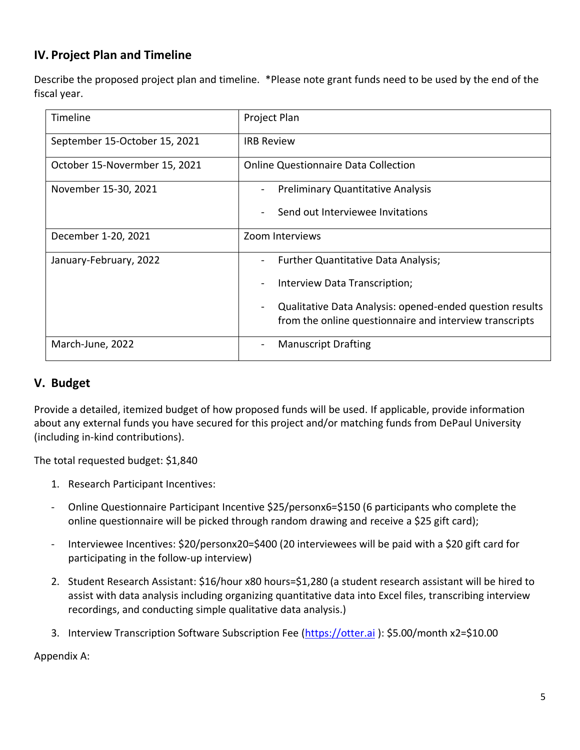# **IV. Project Plan and Timeline**

Describe the proposed project plan and timeline. \*Please note grant funds need to be used by the end of the fiscal year.

| Timeline                      | Project Plan                                                                                                        |
|-------------------------------|---------------------------------------------------------------------------------------------------------------------|
| September 15-October 15, 2021 | <b>IRB Review</b>                                                                                                   |
| October 15-Novermber 15, 2021 | <b>Online Questionnaire Data Collection</b>                                                                         |
| November 15-30, 2021          | <b>Preliminary Quantitative Analysis</b>                                                                            |
|                               | Send out Interviewee Invitations                                                                                    |
| December 1-20, 2021           | Zoom Interviews                                                                                                     |
| January-February, 2022        | Further Quantitative Data Analysis;                                                                                 |
|                               | Interview Data Transcription;                                                                                       |
|                               | Qualitative Data Analysis: opened-ended question results<br>from the online questionnaire and interview transcripts |
| March-June, 2022              | <b>Manuscript Drafting</b><br>-                                                                                     |

## **V. Budget**

Provide a detailed, itemized budget of how proposed funds will be used. If applicable, provide information about any external funds you have secured for this project and/or matching funds from DePaul University (including in-kind contributions).

The total requested budget: \$1,840

- 1. Research Participant Incentives:
- Online Questionnaire Participant Incentive \$25/personx6=\$150 (6 participants who complete the online questionnaire will be picked through random drawing and receive a \$25 gift card);
- Interviewee Incentives: \$20/personx20=\$400 (20 interviewees will be paid with a \$20 gift card for participating in the follow-up interview)
- 2. Student Research Assistant: \$16/hour x80 hours=\$1,280 (a student research assistant will be hired to assist with data analysis including organizing quantitative data into Excel files, transcribing interview recordings, and conducting simple qualitative data analysis.)
- 3. Interview Transcription Software Subscription Fee [\(https://otter.ai](https://otter.ai/) ): \$5.00/month x2=\$10.00

Appendix A: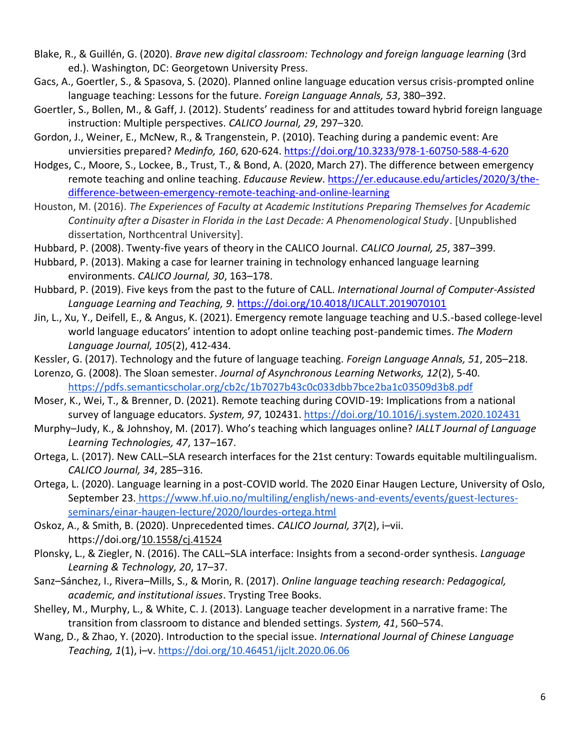- Blake, R., & Guillén, G. (2020). *Brave new digital classroom: Technology and foreign language learning* (3rd ed.). Washington, DC: Georgetown University Press.
- Gacs, A., Goertler, S., & Spasova, S. (2020). Planned online language education versus crisis-prompted online language teaching: Lessons for the future. *Foreign Language Annals, 53*, 380–392.
- Goertler, S., Bollen, M., & Gaff, J. (2012). Students' readiness for and attitudes toward hybrid foreign language instruction: Multiple perspectives. *CALICO Journal, 29*, 297–320.
- Gordon, J., Weiner, E., McNew, R., & Trangenstein, P. (2010). Teaching during a pandemic event: Are unviersities prepared? *Medinfo, 160*, 620-624.<https://doi.org/10.3233/978-1-60750-588-4-620>
- Hodges, C., Moore, S., Lockee, B., Trust, T., & Bond, A. (2020, March 27). The difference between emergency remote teaching and online teaching. *Educause Review*. [https://er.educause.edu/articles/2020/3/the](https://er.educause.edu/articles/2020/3/the-difference-between-emergency-remote-teaching-and-online-learning)[difference-between-emergency-remote-teaching-and-online-learning](https://er.educause.edu/articles/2020/3/the-difference-between-emergency-remote-teaching-and-online-learning)
- Houston, M. (2016). *The Experiences of Faculty at Academic Institutions Preparing Themselves for Academic Continuity after a Disaster in Florida in the Last Decade: A Phenomenological Study*. [Unpublished dissertation, Northcentral University].
- Hubbard, P. (2008). Twenty-five years of theory in the CALICO Journal. *CALICO Journal, 25*, 387–399.
- Hubbard, P. (2013). Making a case for learner training in technology enhanced language learning environments. *CALICO Journal, 30*, 163–178.
- Hubbard, P. (2019). Five keys from the past to the future of CALL. *International Journal of Computer-Assisted Language Learning and Teaching, 9*.<https://doi.org/10.4018/IJCALLT.2019070101>
- Jin, L., Xu, Y., Deifell, E., & Angus, K. (2021). Emergency remote language teaching and U.S.-based college-level world language educators' intention to adopt online teaching post-pandemic times. *The Modern Language Journal, 105*(2), 412-434.
- Kessler, G. (2017). Technology and the future of language teaching. *Foreign Language Annals, 51*, 205–218.
- Lorenzo, G. (2008). The Sloan semester. *Journal of Asynchronous Learning Networks, 12*(2), 5-40. <https://pdfs.semanticscholar.org/cb2c/1b7027b43c0c033dbb7bce2ba1c03509d3b8.pdf>
- Moser, K., Wei, T., & Brenner, D. (2021). Remote teaching during COVID-19: Implications from a national survey of language educators. *System, 97*, 102431.<https://doi.org/10.1016/j.system.2020.102431>
- Murphy–Judy, K., & Johnshoy, M. (2017). Who's teaching which languages online? *IALLT Journal of Language Learning Technologies, 47*, 137–167.
- Ortega, L. (2017). New CALL–SLA research interfaces for the 21st century: Towards equitable multilingualism. *CALICO Journal, 34*, 285–316.
- Ortega, L. (2020). Language learning in a post-COVID world. The 2020 Einar Haugen Lecture, University of Oslo, September 23. [https://www.hf.uio.no/multiling/english/news-and-events/events/guest-lectures](https://www.hf.uio.no/multiling/english/news-)[seminars/einar-haugen-lecture/2020/lourdes-ortega.html](https://www.hf.uio.no/multiling/english/news-)
- Oskoz, A., & Smith, B. (2020). Unprecedented times. *CALICO Journal, 37*(2), i–vii. https://doi.org[/10.1558/cj.41524](http://dx.doi.org/10.1558/cj.41524)
- Plonsky, L., & Ziegler, N. (2016). The CALL–SLA interface: Insights from a second‐order synthesis. *Language Learning & Technology, 20*, 17–37.
- Sanz–Sánchez, I., Rivera–Mills, S., & Morin, R. (2017). *Online language teaching research: Pedagogical, academic, and institutional issues*. Trysting Tree Books.
- Shelley, M., Murphy, L., & White, C. J. (2013). Language teacher development in a narrative frame: The transition from classroom to distance and blended settings. *System, 41*, 560–574.
- Wang, D., & Zhao, Y. (2020). Introduction to the special issue. *International Journal of Chinese Language Teaching, 1*(1), i–v[. https://doi.org/10.46451/ijclt.2020.06.06](https://doi.org/10.46451/ijts.2020.06.06)